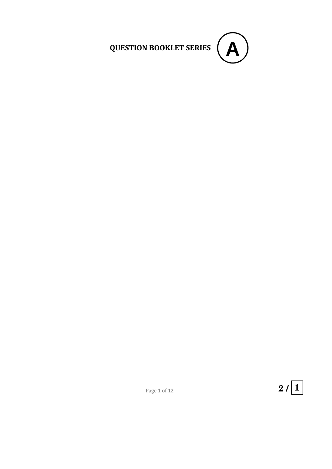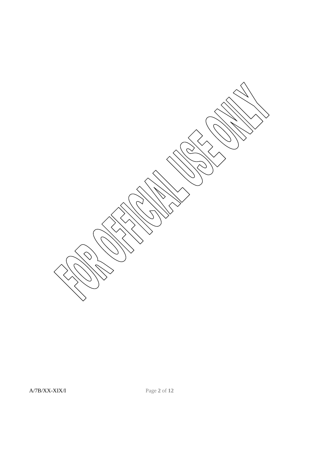$\curvearrowright$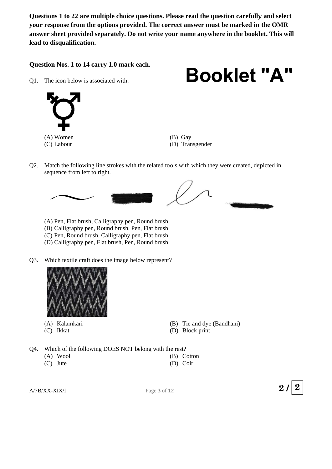Questions 1 to 22 are multiple choice questions. Please read the question carefully and select **your response from the options provided. The correct answer must be marked in the OMR** Questions 1 to 22 are multiple choice questions. Please read the question carefully and select<br>your response from the options provided. The correct answer must be marked in the OMR<br>answer sheet provided separately. Do not lead to disqualification.

Question Nos. 1 to 14 carry 1.0 mark each.

 $O1.$ he icon below is associated with:



**Booklet "A"**

(C C) Labour

- (B) Gay (D) Transgender
- Q2. Match the following line strokes with the related tools with which they were created, depicted in sequence from left to right.



- (A A) Pen, Flat b brush, Calligr Round brush
- (B) Calligraphy pen, Round brush, Pen, Flat brush
- (C C) Pen, Roun d brush, Call ligraphy pen n, Flat brush
- (D D) Calligraph hy pen, Flat b brush, Pen, R Round brush
- Q3. Which textile craft does the image below represent?



- (A) Kalamkari
- (C C) Ikkat
- ?<br>(B) Tie and d dye (Bandh hani)
- (D) Block print
- Q4. Which of the following DOES NOT belong with the rest?
	- (A A) Wool
	- (C C) Jute
- (B) Cotton
	- (D) Coir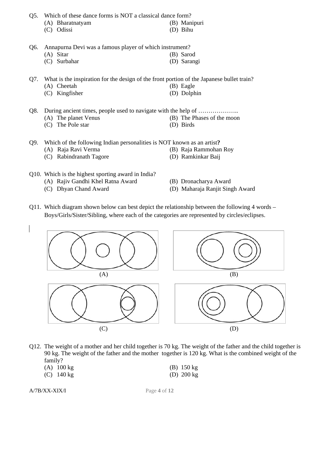Q5. Which of these dance forms is NOT a classical dance form?

- (A) Bharatnatyam (B) Manipuri (C) Odissi (D) Bihu
	-

Q6. Annapurna Devi was a famous player of which instrument?

(A) Sitar (B) Sarod (C) Surbahar (D) Sarangi

Q7. What is the inspiration for the design of the front portion of the Japanese bullet train?

- (A) Cheetah (B) Eagle
- (C) Kingfisher (D) Dolphin

Q8. During ancient times, people used to navigate with the help of ………………..

- 
- (C) The Pole star (D) Birds

Q9. Which of the following Indian personalities is NOT known as an artist**?**

- (A) Raja Ravi Verma (B) Raja Rammohan Roy
- (C) Rabindranath Tagore (D) Ramkinkar Baij

Q10. Which is the highest sporting award in India?

- (A) Rajiv Gandhi Khel Ratna Award (B) Dronacharya Award
- (C) Dhyan Chand Award (D) Maharaja Ranjit Singh Award
- Q11. Which diagram shown below can best depict the relationship between the following 4 words Boys/Girls/Sister/Sibling, where each of the categories are represented by circles/eclipses.



Q12. The weight of a mother and her child together is 70 kg. The weight of the father and the child together is 90 kg. The weight of the father and the mother together is 120 kg. What is the combined weight of the family?

| $(A)$ 100 kg         | (B) $150 \text{ kg}$ |
|----------------------|----------------------|
| (C) $140 \text{ kg}$ | (D) $200 \text{ kg}$ |

- 
- (A) The planet Venus (B) The Phases of the moon
	-
	- -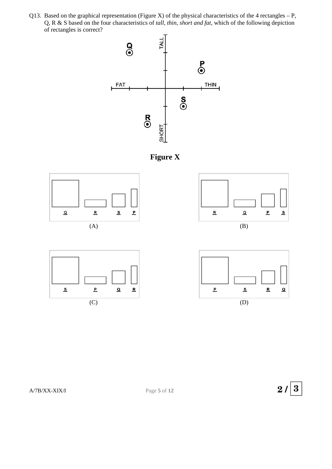Q13. Based on the graphical representation (Figure X) of the physical characteristics of the 4 rectangles  $-P$ , Q, R & S based on the four characteristics of *tall, thin, short and fat,* which of the following depiction of rectangles is correct?











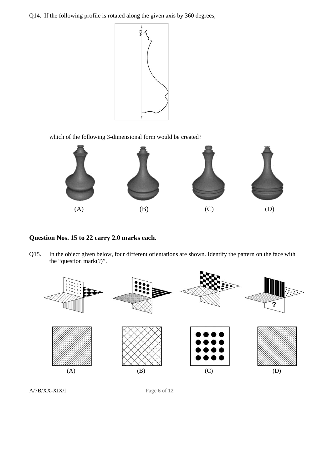Q14. If the following profile is rotated along the given axis by 360 degrees,



which of the following 3-dimensional form would be created?



## **Question Nos. 15 to 22 carry 2.0 marks each.**

Q15. In the object given below, four different orientations are shown. Identify the pattern on the face with the "question mark(?)".

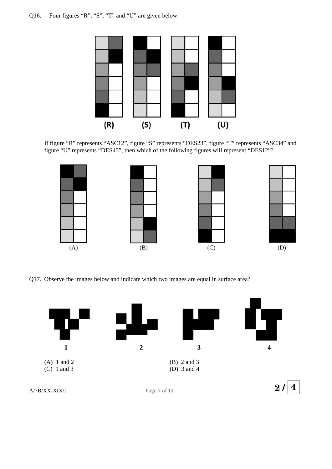

If figure "R" represents "ASC12", figure "S" represents "DES23", figure "T" represents "ASC34" and figure "U" represents "DES45", then which of the following figures will represent "DES12"?



Q17. Observe the images below and indicate which two images are equal in surface area?

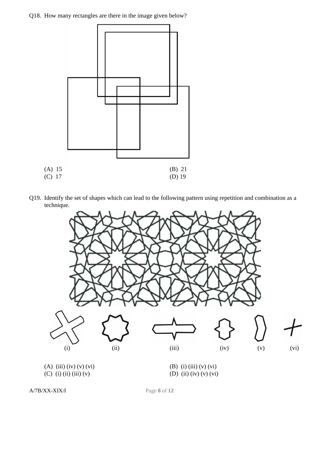Q18. How many rectangles are there in the image given below?



Q19. Identify the set of shapes which can lead to the following pattern using repetition and combination as a technique.



A/7B/XX-XIX/I Page **8** of **12**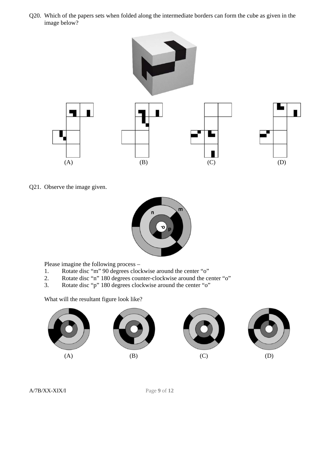Q20. Which of the papers sets when folded along the intermediate borders can form the cube as given in the image below?



Q21. Observe the image given.



Please imagine the following process –

- 1. Rotate disc "m" 90 degrees clockwise around the center "o"
- 2. Rotate disc "n" 180 degrees counter-clockwise around the center "o"
- 3. Rotate disc "p" 180 degrees clockwise around the center "o"

What will the resultant figure look like?

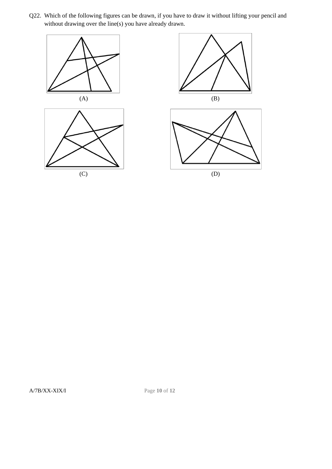Q22. Which of the following figures can be drawn, if you have to draw it without lifting your pencil and without drawing over the line(s) you have already drawn.



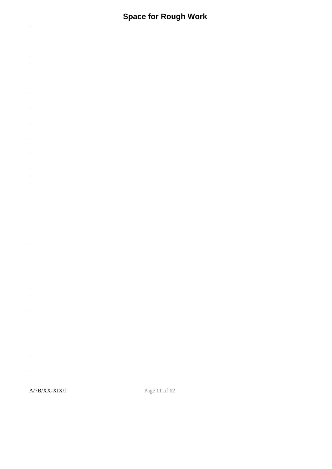## **Space for Rough Work**